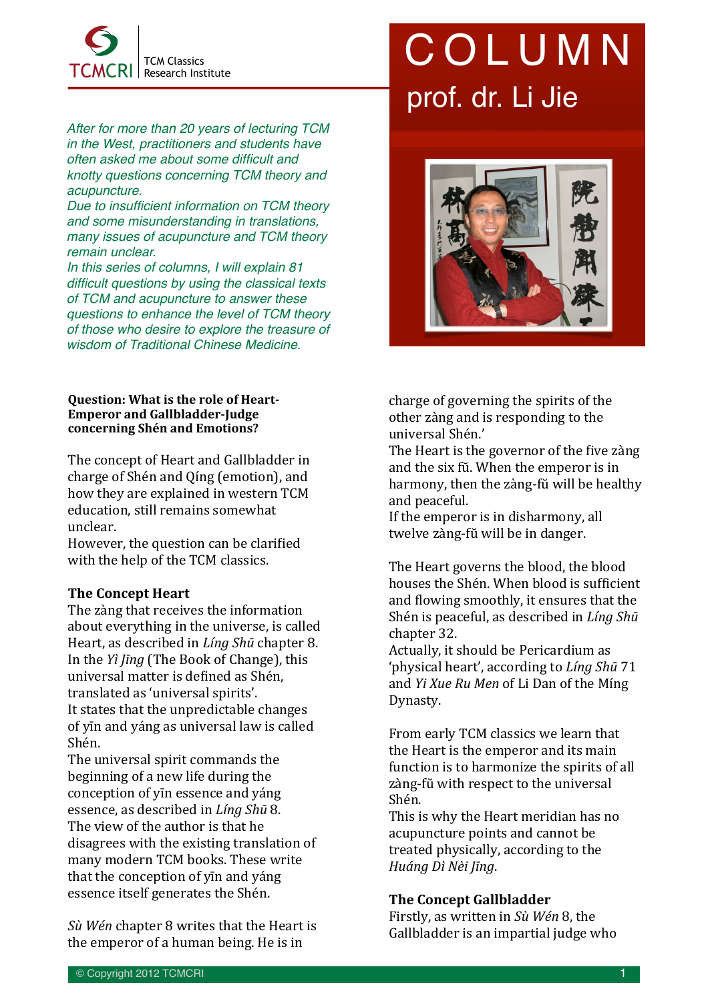

*After for more than 20 years of lecturing TCM in the West, practitioners and students have often asked me about some difficult and knotty questions concerning TCM theory and acupuncture.*

*Due to insufficient information on TCM theory and some misunderstanding in translations, many issues of acupuncture and TCM theory remain unclear.* 

*In this series of columns, I will explain 81 difficult questions by using the classical texts of TCM and acupuncture to answer these questions to enhance the level of TCM theory of those who desire to explore the treasure of wisdom of Traditional Chinese Medicine.*

### **Question: What is the role of Heart-Emperor and Gallbladder-Judge concerning Shén and Emotions?**

The concept of Heart and Gallbladder in charge of Shén and Oíng (emotion), and how they are explained in western TCM education, still remains somewhat unclear. 

However, the question can be clarified with the help of the TCM classics.

## **The Concept Heart**

The zàng that receives the information about everything in the universe, is called Heart, as described in *Ling Shū* chapter 8. In the *Yì līng* (The Book of Change), this universal matter is defined as Shén, translated as 'universal spirits'. It states that the unpredictable changes of yin and yáng as universal law is called Shén. 

The universal spirit commands the beginning of a new life during the conception of yin essence and yáng essence, as described in *Ling Shū* 8. The view of the author is that he disagrees with the existing translation of many modern TCM books. These write that the conception of yin and yáng essence itself generates the Shén.

*Sù Wén* chapter 8 writes that the Heart is the emperor of a human being. He is in

# COLUMN prof. dr. Li Jie



charge of governing the spirits of the other zàng and is responding to the universal Shén.'

The Heart is the governor of the five zàng and the six fŭ. When the emperor is in harmony, then the zàng-fŭ will be healthy and peaceful.

If the emperor is in disharmony, all twelve zàng-fŭ will be in danger.

The Heart governs the blood, the blood houses the Shén. When blood is sufficient and flowing smoothly, it ensures that the Shén is peaceful, as described in *Líng Shū* chapter 32.

Actually, it should be Pericardium as 'physical heart', according to *Líng Shū* 71 and *Yi Xue Ru Men* of Li Dan of the Míng Dynasty.

From early TCM classics we learn that the Heart is the emperor and its main function is to harmonize the spirits of all zàng-fŭ with respect to the universal Shén. 

This is why the Heart meridian has no acupuncture points and cannot be treated physically, according to the *Huáng Dì Nèi Jīng*.

### **The Concept Gallbladder**

Firstly, as written in Sù Wén 8, the Gallbladder is an impartial judge who